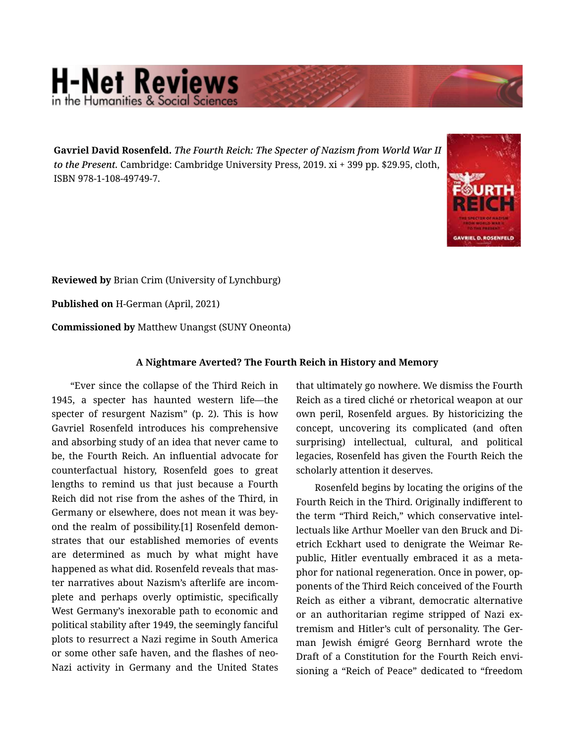## **H-Net Reviews**

Gavriel David Rosenfeld. *The Fourth Reich: The Specter of Nazism from World War II to the Present.* Cambridge: Cambridge University Press, 2019. xi + 399 pp. \$29.95, cloth, ISBN 978-1-108-49749-7.



Reviewed by Brian Crim (University of Lynchburg)

Published on H-German (April, 2021)

Commissioned by Matthew Unangst (SUNY Oneonta)

## A Nightmare Averted? The Fourth Reich in History and Memory

"Ever since the collapse of the Third Reich in 1945, a specter has haunted western life—the specter of resurgent Nazism" (p. 2). This is how Gavriel Rosenfeld introduces his comprehensive and absorbing study of an idea that never came to be, the Fourth Reich. An influential advocate for counterfactual history, Rosenfeld goes to great lengths to remind us that just because a Fourth Reich did not rise from the ashes of the Third, in Germany or elsewhere, does not mean it was bey‐ ond the realm of possibility.[1] Rosenfeld demon‐ strates that our established memories of events are determined as much by what might have happened as what did. Rosenfeld reveals that mas‐ ter narratives about Nazism's afterlife are incom‐ plete and perhaps overly optimistic, specifically West Germany's inexorable path to economic and political stability after 1949, the seemingly fanciful plots to resurrect a Nazi regime in South America or some other safe haven, and the flashes of neo-Nazi activity in Germany and the United States

that ultimately go nowhere. We dismiss the Fourth Reich as a tired cliché or rhetorical weapon at our own peril, Rosenfeld argues. By historicizing the concept, uncovering its complicated (and often surprising) intellectual, cultural, and political legacies, Rosenfeld has given the Fourth Reich the scholarly attention it deserves.

Rosenfeld begins by locating the origins of the Fourth Reich in the Third. Originally indifferent to the term "Third Reich," which conservative intel‐ lectuals like Arthur Moeller van den Bruck and Di‐ etrich Eckhart used to denigrate the Weimar Re‐ public, Hitler eventually embraced it as a meta‐ phor for national regeneration. Once in power, op‐ ponents of the Third Reich conceived of the Fourth Reich as either a vibrant, democratic alternative or an authoritarian regime stripped of Nazi ex‐ tremism and Hitler's cult of personality. The Ger‐ man Jewish émigré Georg Bernhard wrote the Draft of a Constitution for the Fourth Reich envi‐ sioning a "Reich of Peace" dedicated to "freedom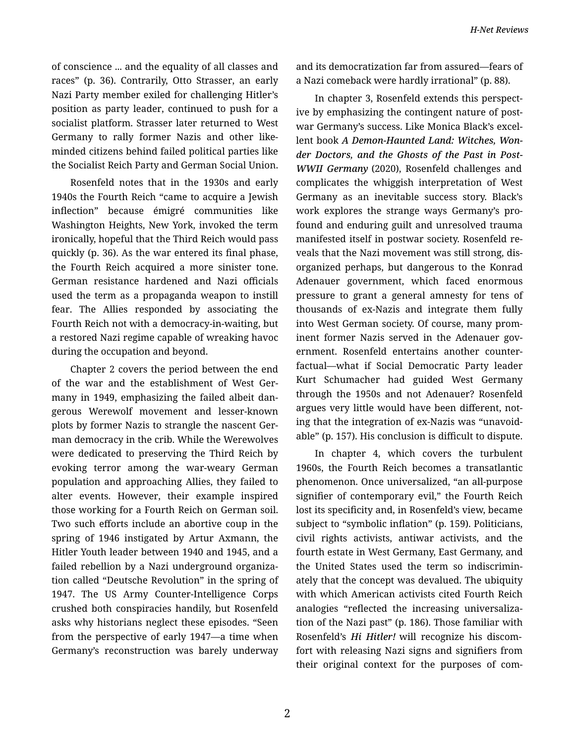of conscience ... and the equality of all classes and races" (p. 36). Contrarily, Otto Strasser, an early Nazi Party member exiled for challenging Hitler's position as party leader, continued to push for a socialist platform. Strasser later returned to West Germany to rally former Nazis and other likeminded citizens behind failed political parties like the Socialist Reich Party and German Social Union.

Rosenfeld notes that in the 1930s and early 1940s the Fourth Reich "came to acquire a Jewish inflection" because émigré communities like Washington Heights, New York, invoked the term ironically, hopeful that the Third Reich would pass quickly (p. 36). As the war entered its final phase, the Fourth Reich acquired a more sinister tone. German resistance hardened and Nazi officials used the term as a propaganda weapon to instill fear. The Allies responded by associating the Fourth Reich not with a democracy-in-waiting, but a restored Nazi regime capable of wreaking havoc during the occupation and beyond.

Chapter 2 covers the period between the end of the war and the establishment of West Ger‐ many in 1949, emphasizing the failed albeit dan‐ gerous Werewolf movement and lesser-known plots by former Nazis to strangle the nascent Ger‐ man democracy in the crib. While the Werewolves were dedicated to preserving the Third Reich by evoking terror among the war-weary German population and approaching Allies, they failed to alter events. However, their example inspired those working for a Fourth Reich on German soil. Two such efforts include an abortive coup in the spring of 1946 instigated by Artur Axmann, the Hitler Youth leader between 1940 and 1945, and a failed rebellion by a Nazi underground organiza‐ tion called "Deutsche Revolution" in the spring of 1947. The US Army Counter-Intelligence Corps crushed both conspiracies handily, but Rosenfeld asks why historians neglect these episodes. "Seen from the perspective of early 1947—a time when Germany's reconstruction was barely underway and its democratization far from assured—fears of a Nazi comeback were hardly irrational" (p. 88).

In chapter 3, Rosenfeld extends this perspect‐ ive by emphasizing the contingent nature of postwar Germany's success. Like Monica Black's excel‐ lent book *A Demon-Haunted Land: Witches, Won‐ der Doctors, and the Ghosts of the Past in Post-WWII Germany* (2020), Rosenfeld challenges and complicates the whiggish interpretation of West Germany as an inevitable success story. Black's work explores the strange ways Germany's pro‐ found and enduring guilt and unresolved trauma manifested itself in postwar society. Rosenfeld re‐ veals that the Nazi movement was still strong, dis‐ organized perhaps, but dangerous to the Konrad Adenauer government, which faced enormous pressure to grant a general amnesty for tens of thousands of ex-Nazis and integrate them fully into West German society. Of course, many prom‐ inent former Nazis served in the Adenauer government. Rosenfeld entertains another counter‐ factual—what if Social Democratic Party leader Kurt Schumacher had guided West Germany through the 1950s and not Adenauer? Rosenfeld argues very little would have been different, not‐ ing that the integration of ex-Nazis was "unavoid‐ able" (p. 157). His conclusion is difficult to dispute.

In chapter 4, which covers the turbulent 1960s, the Fourth Reich becomes a transatlantic phenomenon. Once universalized, "an all-purpose signifier of contemporary evil," the Fourth Reich lost its specificity and, in Rosenfeld's view, became subject to "symbolic inflation" (p. 159). Politicians, civil rights activists, antiwar activists, and the fourth estate in West Germany, East Germany, and the United States used the term so indiscrimin‐ ately that the concept was devalued. The ubiquity with which American activists cited Fourth Reich analogies "reflected the increasing universaliza‐ tion of the Nazi past" (p. 186). Those familiar with Rosenfeld's *Hi Hitler!* will recognize his discom‐ fort with releasing Nazi signs and signifiers from their original context for the purposes of com‐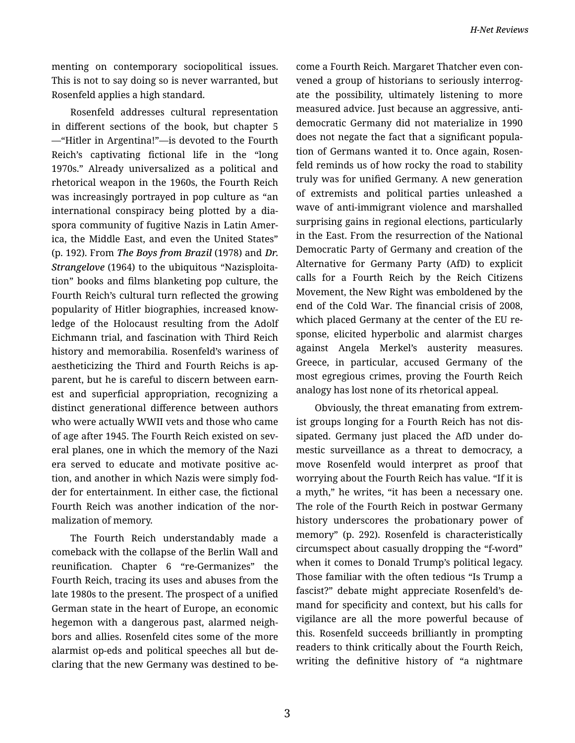menting on contemporary sociopolitical issues. This is not to say doing so is never warranted, but Rosenfeld applies a high standard.

Rosenfeld addresses cultural representation in different sections of the book, but chapter 5 —"Hitler in Argentina!"—is devoted to the Fourth Reich's captivating fictional life in the "long 1970s." Already universalized as a political and rhetorical weapon in the 1960s, the Fourth Reich was increasingly portrayed in pop culture as "an international conspiracy being plotted by a dia‐ spora community of fugitive Nazis in Latin Amer‐ ica, the Middle East, and even the United States" (p. 192). From *The Boys from Brazil* (1978) and *Dr. Strangelove* (1964) to the ubiquitous "Nazisploita‐ tion" books and films blanketing pop culture, the Fourth Reich's cultural turn reflected the growing popularity of Hitler biographies, increased know‐ ledge of the Holocaust resulting from the Adolf Eichmann trial, and fascination with Third Reich history and memorabilia. Rosenfeld's wariness of aestheticizing the Third and Fourth Reichs is ap‐ parent, but he is careful to discern between earn‐ est and superficial appropriation, recognizing a distinct generational difference between authors who were actually WWII vets and those who came of age after 1945. The Fourth Reich existed on sev‐ eral planes, one in which the memory of the Nazi era served to educate and motivate positive ac‐ tion, and another in which Nazis were simply fod‐ der for entertainment. In either case, the fictional Fourth Reich was another indication of the nor‐ malization of memory.

The Fourth Reich understandably made a comeback with the collapse of the Berlin Wall and reunification. Chapter 6 "re-Germanizes" the Fourth Reich, tracing its uses and abuses from the late 1980s to the present. The prospect of a unified German state in the heart of Europe, an economic hegemon with a dangerous past, alarmed neigh‐ bors and allies. Rosenfeld cites some of the more alarmist op-eds and political speeches all but de‐ claring that the new Germany was destined to be‐ come a Fourth Reich. Margaret Thatcher even con‐ vened a group of historians to seriously interrog‐ ate the possibility, ultimately listening to more measured advice. Just because an aggressive, anti‐ democratic Germany did not materialize in 1990 does not negate the fact that a significant popula‐ tion of Germans wanted it to. Once again, Rosen‐ feld reminds us of how rocky the road to stability truly was for unified Germany. A new generation of extremists and political parties unleashed a wave of anti-immigrant violence and marshalled surprising gains in regional elections, particularly in the East. From the resurrection of the National Democratic Party of Germany and creation of the Alternative for Germany Party (AfD) to explicit calls for a Fourth Reich by the Reich Citizens Movement, the New Right was emboldened by the end of the Cold War. The financial crisis of 2008, which placed Germany at the center of the EU re‐ sponse, elicited hyperbolic and alarmist charges against Angela Merkel's austerity measures. Greece, in particular, accused Germany of the most egregious crimes, proving the Fourth Reich analogy has lost none of its rhetorical appeal.

Obviously, the threat emanating from extrem‐ ist groups longing for a Fourth Reich has not dis‐ sipated. Germany just placed the AfD under do‐ mestic surveillance as a threat to democracy, a move Rosenfeld would interpret as proof that worrying about the Fourth Reich has value. "If it is a myth," he writes, "it has been a necessary one. The role of the Fourth Reich in postwar Germany history underscores the probationary power of memory" (p. 292). Rosenfeld is characteristically circumspect about casually dropping the "f-word" when it comes to Donald Trump's political legacy. Those familiar with the often tedious "Is Trump a fascist?" debate might appreciate Rosenfeld's de‐ mand for specificity and context, but his calls for vigilance are all the more powerful because of this. Rosenfeld succeeds brilliantly in prompting readers to think critically about the Fourth Reich, writing the definitive history of "a nightmare